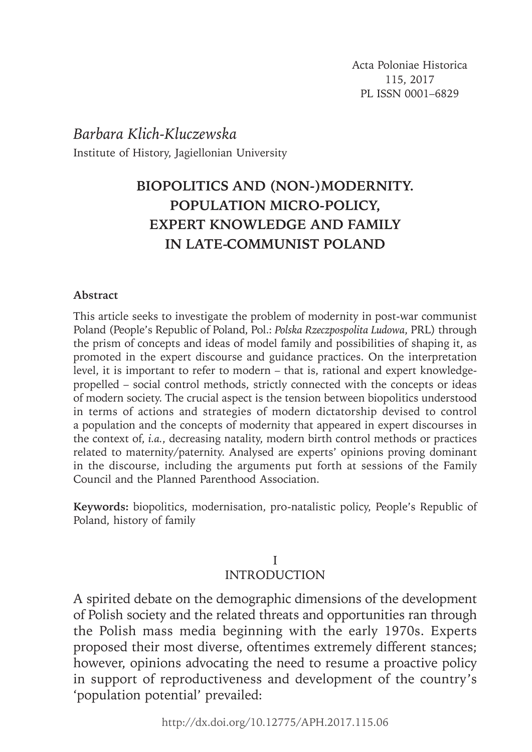# *Barbara Klich-Kluczewska* Institute of History, Jagiellonian University

# **BIOPOLITICS AND (NON-)MODERNITY. POPULATION MICRO-POLICY, EXPERT KNOWLEDGE AND FAMILY IN LATE-COMMUNIST POLAND**

#### **Abstract**

This article seeks to investigate the problem of modernity in post-war communist Poland (People's Republic of Poland, Pol.: *Polska Rzeczpospolita Ludowa*, PRL) through the prism of concepts and ideas of model family and possibilities of shaping it, as promoted in the expert discourse and guidance practices. On the interpretation level, it is important to refer to modern – that is, rational and expert knowledgepropelled – social control methods, strictly connected with the concepts or ideas of modern society. The crucial aspect is the tension between biopolitics understood in terms of actions and strategies of modern dictatorship devised to control a population and the concepts of modernity that appeared in expert discourses in the context of, *i.a.*, decreasing natality, modern birth control methods or practices related to maternity/paternity. Analysed are experts' opinions proving dominant in the discourse, including the arguments put forth at sessions of the Family Council and the Planned Parenthood Association.

**Keywords:** biopolitics, modernisation, pro-natalistic policy, People's Republic of Poland, history of family

#### I INTRODUCTION

A spirited debate on the demographic dimensions of the development of Polish society and the related threats and opportunities ran through the Polish mass media beginning with the early 1970s. Experts proposed their most diverse, oftentimes extremely different stances; however, opinions advocating the need to resume a proactive policy in support of reproductiveness and development of the country's 'population potential' prevailed: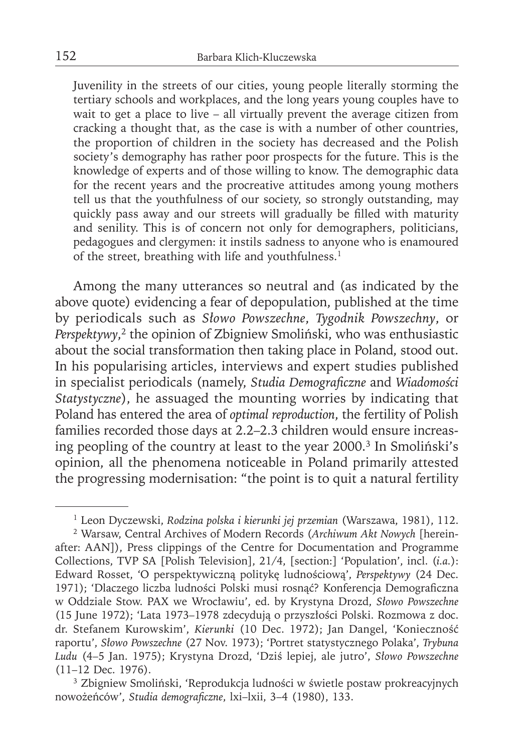Juvenility in the streets of our cities, young people literally storming the tertiary schools and workplaces, and the long years young couples have to wait to get a place to live – all virtually prevent the average citizen from cracking a thought that, as the case is with a number of other countries, the proportion of children in the society has decreased and the Polish society's demography has rather poor prospects for the future. This is the knowledge of experts and of those willing to know. The demographic data for the recent years and the procreative attitudes among young mothers tell us that the youthfulness of our society, so strongly outstanding, may quickly pass away and our streets will gradually be filled with maturity and senility. This is of concern not only for demographers, politicians, pedagogues and clergymen: it instils sadness to anyone who is enamoured of the street, breathing with life and youthfulness.<sup>1</sup>

Among the many utterances so neutral and (as indicated by the above quote) evidencing a fear of depopulation, published at the time by periodicals such as *Słowo Powszechne*, *Tygodnik Powszechny*, or *Perspektywy*, 2 the opinion of Zbigniew Smoliński, who was enthusiastic about the social transformation then taking place in Poland, stood out. In his popularising articles, interviews and expert studies published in specialist periodicals (namely, *Studia Demograficzne* and *Wiadomości Statystyczne*), he assuaged the mounting worries by indicating that Poland has entered the area of *optimal reproduction*, the fertility of Polish families recorded those days at 2.2–2.3 children would ensure increasing peopling of the country at least to the year 2000.3 In Smoliński's opinion, all the phenomena noticeable in Poland primarily attested the progressing modernisation: "the point is to quit a natural fertility

<sup>1</sup> Leon Dyczewski, *Rodzina polska i kierunki jej przemian* (Warszawa, 1981), 112.

<sup>2</sup> Warsaw, Central Archives of Modern Records (*Archiwum Akt Nowych* [hereinafter: AAN]), Press clippings of the Centre for Documentation and Programme Collections, TVP SA [Polish Television], 21/4, [section:] 'Population', incl. (*i.a.*): Edward Rosset, 'O perspektywiczną politykę ludnościową', *Perspektywy* (24 Dec. 1971); 'Dlaczego liczba ludności Polski musi rosnąć? Konferencja Demograficzna w Oddziale Stow. PAX we Wrocławiu', ed. by Krystyna Drozd, *Słowo Powszechne* (15 June 1972); 'Lata 1973–1978 zdecydują o przyszłości Polski. Rozmowa z doc. dr. Stefanem Kurowskim', *Kierunki* (10 Dec. 1972); Jan Dangel, 'Konieczność raportu', *Słowo Powszechne* (27 Nov. 1973); 'Portret statystycznego Polaka', *Trybuna Ludu* (4–5 Jan. 1975); Krystyna Drozd, 'Dziś lepiej, ale jutro', *Słowo Powszechne* (11–12 Dec. 1976).

<sup>3</sup> Zbigniew Smoliński, 'Reprodukcja ludności w świetle postaw prokreacyjnych nowożeńców', *Studia demograficzne*, lxi-lxii, 3-4 (1980), 133.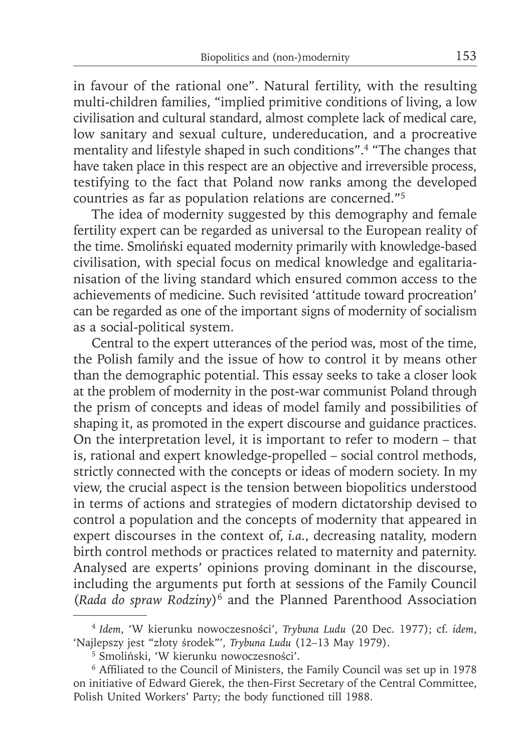in favour of the rational one". Natural fertility, with the resulting multi-children families, "implied primitive conditions of living, a low civilisation and cultural standard, almost complete lack of medical care, low sanitary and sexual culture, undereducation, and a procreative mentality and lifestyle shaped in such conditions".4 "The changes that have taken place in this respect are an objective and irreversible process, testifying to the fact that Poland now ranks among the developed countries as far as population relations are concerned."5

The idea of modernity suggested by this demography and female fertility expert can be regarded as universal to the European reality of the time. Smoliński equated modernity primarily with knowledge-based civilisation, with special focus on medical knowledge and egalitarianisation of the living standard which ensured common access to the achievements of medicine. Such revisited 'attitude toward procreation' can be regarded as one of the important signs of modernity of socialism as a social-political system.

Central to the expert utterances of the period was, most of the time, the Polish family and the issue of how to control it by means other than the demographic potential. This essay seeks to take a closer look at the problem of modernity in the post-war communist Poland through the prism of concepts and ideas of model family and possibilities of shaping it, as promoted in the expert discourse and guidance practices. On the interpretation level, it is important to refer to modern – that is, rational and expert knowledge-propelled – social control methods, strictly connected with the concepts or ideas of modern society. In my view, the crucial aspect is the tension between biopolitics understood in terms of actions and strategies of modern dictatorship devised to control a population and the concepts of modernity that appeared in expert discourses in the context of, *i.a.*, decreasing natality, modern birth control methods or practices related to maternity and paternity. Analysed are experts' opinions proving dominant in the discourse, including the arguments put forth at sessions of the Family Council (*Rada do spraw Rodziny*)6 and the Planned Parenthood Association

<sup>4</sup>*Idem*, 'W kierunku nowoczesności', *Trybuna Ludu* (20 Dec. 1977); cf. *idem*, 'Najlepszy jest "złoty środek"', *Trybuna Ludu* (12–13 May 1979).

<sup>5</sup> Smoliński, 'W kierunku nowoczesności'.

<sup>&</sup>lt;sup>6</sup> Affiliated to the Council of Ministers, the Family Council was set up in 1978 on initiative of Edward Gierek, the then-First Secretary of the Central Committee, Polish United Workers' Party; the body functioned till 1988.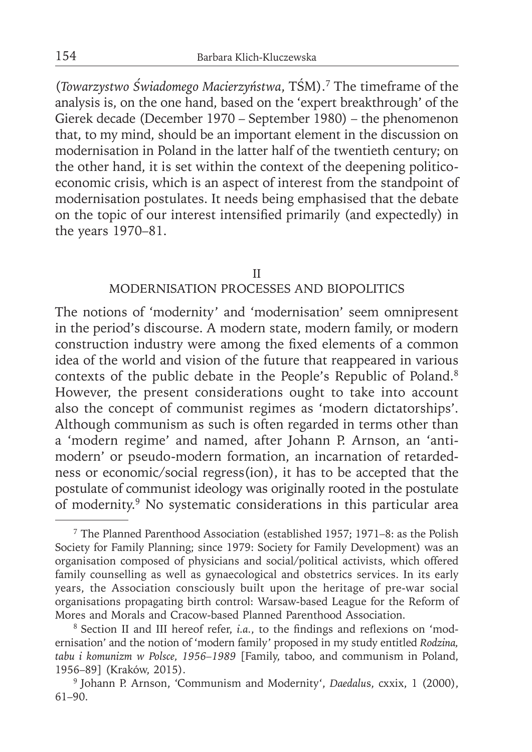(*Towarzystwo Świadomego Macierzyństwa*, TŚM).7 The timeframe of the analysis is, on the one hand, based on the 'expert breakthrough' of the Gierek decade (December 1970 – September 1980) – the phenomenon that, to my mind, should be an important element in the discussion on modernisation in Poland in the latter half of the twentieth century; on the other hand, it is set within the context of the deepening politicoeconomic crisis, which is an aspect of interest from the standpoint of modernisation postulates. It needs being emphasised that the debate on the topic of our interest intensified primarily (and expectedly) in the years 1970–81.

#### II

#### MODERNISATION PROCESSES AND BIOPOLITICS

The notions of 'modernity' and 'modernisation' seem omnipresent in the period's discourse. A modern state, modern family, or modern construction industry were among the fixed elements of a common idea of the world and vision of the future that reappeared in various contexts of the public debate in the People's Republic of Poland.8 However, the present considerations ought to take into account also the concept of communist regimes as 'modern dictatorships'. Although communism as such is often regarded in terms other than a 'modern regime' and named, after Johann P. Arnson, an 'antimodern' or pseudo-modern formation, an incarnation of retardedness or economic/social regress(ion), it has to be accepted that the postulate of communist ideology was originally rooted in the postulate of modernity.9 No systematic considerations in this particular area

<sup>7</sup> The Planned Parenthood Association (established 1957; 1971–8: as the Polish Society for Family Planning; since 1979: Society for Family Development) was an organisation composed of physicians and social/political activists, which offered family counselling as well as gynaecological and obstetrics services. In its early years, the Association consciously built upon the heritage of pre-war social organisations propagating birth control: Warsaw-based League for the Reform of Mores and Morals and Cracow-based Planned Parenthood Association.

<sup>&</sup>lt;sup>8</sup> Section II and III hereof refer, *i.a.*, to the findings and reflexions on 'modernisation' and the notion of 'modern family' proposed in my study entitled *Rodzina, tabu i komunizm w Polsce, 1956–1989* [Family, taboo, and communism in Poland, 1956–89] (Kraków, 2015).

<sup>&</sup>lt;sup>9</sup> Johann P. Arnson, 'Communism and Modernity', *Daedalus*, cxxix, 1 (2000), 61–90.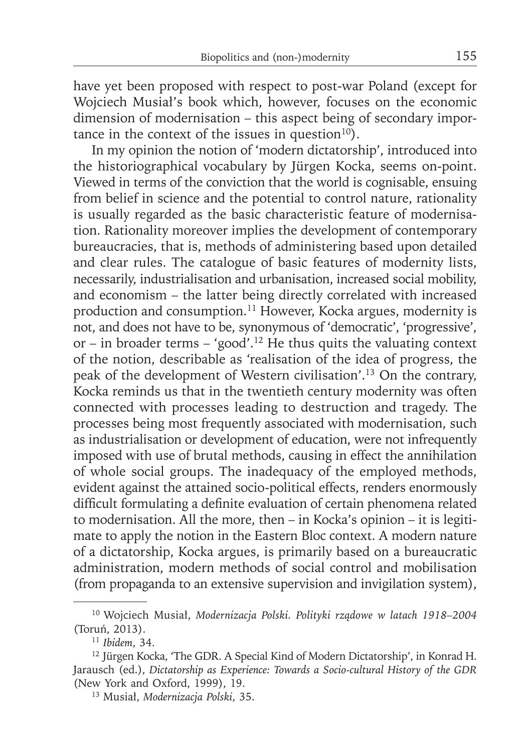have yet been proposed with respect to post-war Poland (except for Wojciech Musiał's book which, however, focuses on the economic dimension of modernisation – this aspect being of secondary importance in the context of the issues in question $10$ ).

In my opinion the notion of 'modern dictatorship', introduced into the historiographical vocabulary by Jürgen Kocka, seems on-point. Viewed in terms of the conviction that the world is cognisable, ensuing from belief in science and the potential to control nature, rationality is usually regarded as the basic characteristic feature of modernisation. Rationality moreover implies the development of contemporary bureaucracies, that is, methods of administering based upon detailed and clear rules. The catalogue of basic features of modernity lists, necessarily, industrialisation and urbanisation, increased social mobility, and economism – the latter being directly correlated with increased production and consumption.<sup>11</sup> However, Kocka argues, modernity is not, and does not have to be, synonymous of 'democratic', 'progressive', or – in broader terms – 'good'.12 He thus quits the valuating context of the notion, describable as 'realisation of the idea of progress, the peak of the development of Western civilisation'.13 On the contrary, Kocka reminds us that in the twentieth century modernity was often connected with processes leading to destruction and tragedy. The processes being most frequently associated with modernisation, such as industrialisation or development of education, were not infrequently imposed with use of brutal methods, causing in effect the annihilation of whole social groups. The inadequacy of the employed methods, evident against the attained socio-political effects, renders enormously difficult formulating a definite evaluation of certain phenomena related to modernisation. All the more, then – in Kocka's opinion – it is legitimate to apply the notion in the Eastern Bloc context. A modern nature of a dictatorship, Kocka argues, is primarily based on a bureaucratic administration, modern methods of social control and mobilisation (from propaganda to an extensive supervision and invigilation system),

<sup>10</sup> Wojciech Musiał, *Modernizacja Polski. Polityki rządowe w latach 1918–2004* (Toruń, 2013).

<sup>11</sup>*Ibidem*, 34.

<sup>12</sup> Jürgen Kocka, 'The GDR. A Special Kind of Modern Dictatorship', in Konrad H. Jarausch (ed.), *Dictatorship as Experience: Towards a Socio-cultural History of the GDR* (New York and Oxford, 1999), 19.

<sup>13</sup> Musiał, *Modernizacja Polski*, 35.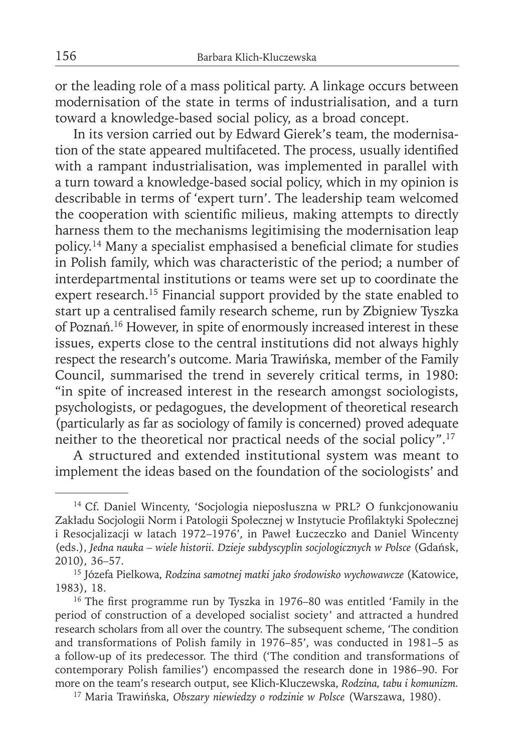or the leading role of a mass political party. A linkage occurs between modernisation of the state in terms of industrialisation, and a turn toward a knowledge-based social policy, as a broad concept.

In its version carried out by Edward Gierek's team, the modernisation of the state appeared multifaceted. The process, usually identified with a rampant industrialisation, was implemented in parallel with a turn toward a knowledge-based social policy, which in my opinion is describable in terms of 'expert turn'. The leadership team welcomed the cooperation with scientific milieus, making attempts to directly harness them to the mechanisms legitimising the modernisation leap policy.<sup>14</sup> Many a specialist emphasised a beneficial climate for studies in Polish family, which was characteristic of the period; a number of interdepartmental institutions or teams were set up to coordinate the expert research.<sup>15</sup> Financial support provided by the state enabled to start up a centralised family research scheme, run by Zbigniew Tyszka of Poznań. 16 However, in spite of enormously increased interest in these issues, experts close to the central institutions did not always highly respect the research's outcome. Maria Trawińska, member of the Family Council, summarised the trend in severely critical terms, in 1980: "in spite of increased interest in the research amongst sociologists, psychologists, or pedagogues, the development of theoretical research (particularly as far as sociology of family is concerned) proved adequate neither to the theoretical nor practical needs of the social policy".17

A structured and extended institutional system was meant to implement the ideas based on the foundation of the sociologists' and

<sup>14</sup> Cf. Daniel Wincenty, 'Socjologia nieposłuszna w PRL? O funkcjonowaniu Zakładu Socjologii Norm i Patologii Społecznej w Instytucie Profilaktyki Społecznej i Resocjalizacji w latach 1972–1976', in Paweł Łuczeczko and Daniel Wincenty (eds.), *Jedna nauka – wiele historii. Dzieje subdyscyplin socjologicznych w Polsce* (Gdańsk, 2010), 36–57.

<sup>15</sup> Józefa Pielkowa, *Rodzina samotnej matki jako środowisko wychowawcze* (Katowice, 1983), 18.

<sup>&</sup>lt;sup>16</sup> The first programme run by Tyszka in 1976–80 was entitled 'Family in the period of construction of a developed socialist society' and attracted a hundred research scholars from all over the country. The subsequent scheme, 'The condition and transformations of Polish family in 1976–85', was conducted in 1981–5 as a follow-up of its predecessor. The third ('The condition and transformations of contemporary Polish families') encompassed the research done in 1986–90. For more on the team's research output, see Klich-Kluczewska, *Rodzina, tabu i komunizm.*

<sup>17</sup> Maria Trawińska, *Obszary niewiedzy o rodzinie w Polsce* (Warszawa, 1980).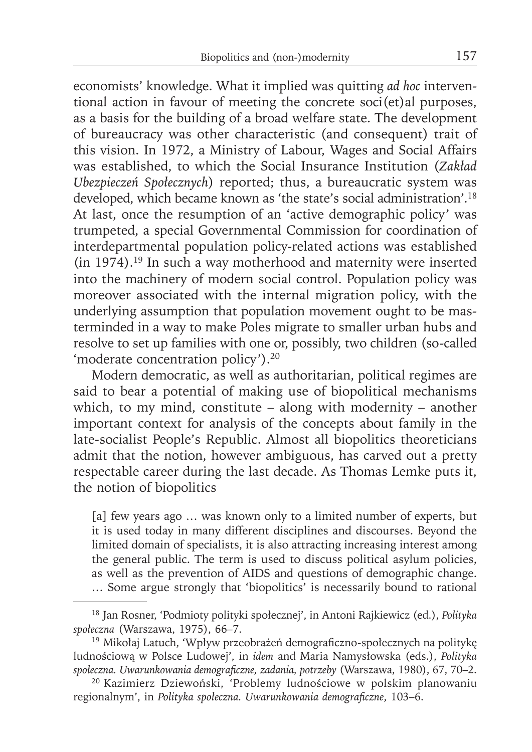economists' knowledge. What it implied was quitting *ad hoc* interventional action in favour of meeting the concrete soci(et)al purposes, as a basis for the building of a broad welfare state. The development of bureaucracy was other characteristic (and consequent) trait of this vision. In 1972, a Ministry of Labour, Wages and Social Affairs was established, to which the Social Insurance Institution (*Zakład Ubezpieczeń Społecznych*) reported; thus, a bureaucratic system was developed, which became known as 'the state's social administration'.18 At last, once the resumption of an 'active demographic policy' was trumpeted, a special Governmental Commission for coordination of interdepartmental population policy-related actions was established (in 1974).19 In such a way motherhood and maternity were inserted into the machinery of modern social control. Population policy was moreover associated with the internal migration policy, with the underlying assumption that population movement ought to be masterminded in a way to make Poles migrate to smaller urban hubs and resolve to set up families with one or, possibly, two children (so-called 'moderate concentration policy').20

Modern democratic, as well as authoritarian, political regimes are said to bear a potential of making use of biopolitical mechanisms which, to my mind, constitute – along with modernity – another important context for analysis of the concepts about family in the late-socialist People's Republic. Almost all biopolitics theoreticians admit that the notion, however ambiguous, has carved out a pretty respectable career during the last decade. As Thomas Lemke puts it, the notion of biopolitics

[a] few years ago ... was known only to a limited number of experts, but it is used today in many different disciplines and discourses. Beyond the limited domain of specialists, it is also attracting increasing interest among the general public. The term is used to discuss political asylum policies, as well as the prevention of AIDS and questions of demographic change. … Some argue strongly that 'biopolitics' is necessarily bound to rational

<sup>18</sup> Jan Rosner, 'Podmioty polityki społecznej', in Antoni Rajkiewicz (ed.), *Polityka społeczna* (Warszawa, 1975), 66–7.

<sup>&</sup>lt;sup>19</sup> Mikołaj Latuch, 'Wpływ przeobrażeń demograficzno-społecznych na politykę ludnościową w Polsce Ludowej', in *idem* and Maria Namysłowska (eds.), *Polityka*  społeczna. Uwarunkowania demograficzne, zadania, potrzeby (Warszawa, 1980), 67, 70–2.

<sup>20</sup> Kazimierz Dziewoński, 'Problemy ludnościowe w polskim planowaniu regionalnym', in *Polityka społeczna*. Uwarunkowania demograficzne, 103–6.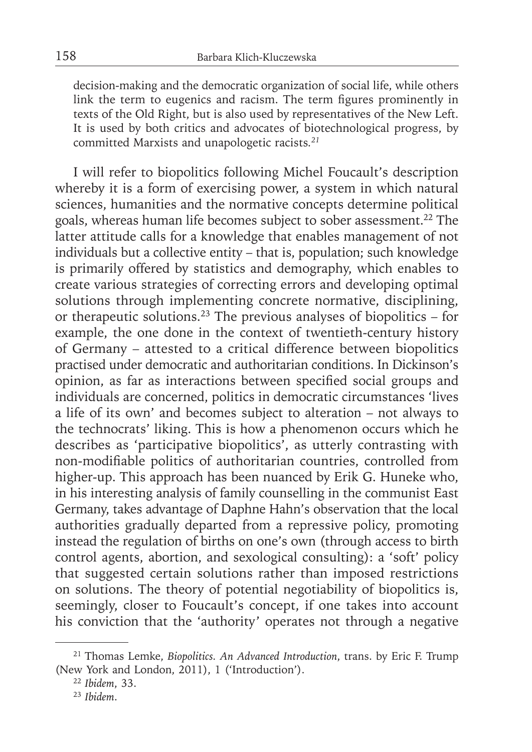decision-making and the democratic organization of social life, while others link the term to eugenics and racism. The term figures prominently in texts of the Old Right, but is also used by representatives of the New Left. It is used by both critics and advocates of biotechnological progress, by committed Marxists and unapologetic racists*. 21*

I will refer to biopolitics following Michel Foucault's description whereby it is a form of exercising power, a system in which natural sciences, humanities and the normative concepts determine political goals, whereas human life becomes subject to sober assessment.22 The latter attitude calls for a knowledge that enables management of not individuals but a collective entity – that is, population; such knowledge is primarily offered by statistics and demography, which enables to create various strategies of correcting errors and developing optimal solutions through implementing concrete normative, disciplining, or therapeutic solutions.23 The previous analyses of biopolitics – for example, the one done in the context of twentieth-century history of Germany – attested to a critical difference between biopolitics practised under democratic and authoritarian conditions. In Dickinson's opinion, as far as interactions between specified social groups and individuals are concerned, politics in democratic circumstances 'lives a life of its own' and becomes subject to alteration – not always to the technocrats' liking. This is how a phenomenon occurs which he describes as 'participative biopolitics', as utterly contrasting with non-modifiable politics of authoritarian countries, controlled from higher-up. This approach has been nuanced by Erik G. Huneke who, in his interesting analysis of family counselling in the communist East Germany, takes advantage of Daphne Hahn's observation that the local authorities gradually departed from a repressive policy, promoting instead the regulation of births on one's own (through access to birth control agents, abortion, and sexological consulting): a 'soft' policy that suggested certain solutions rather than imposed restrictions on solutions. The theory of potential negotiability of biopolitics is, seemingly, closer to Foucault's concept, if one takes into account his conviction that the 'authority' operates not through a negative

<sup>21</sup> Thomas Lemke, *Biopolitics. An Advanced Introduction*, trans. by Eric F. Trump (New York and London, 2011), 1 ('Introduction').

<sup>22</sup>*Ibidem*, 33.

<sup>23</sup> *Ibidem*.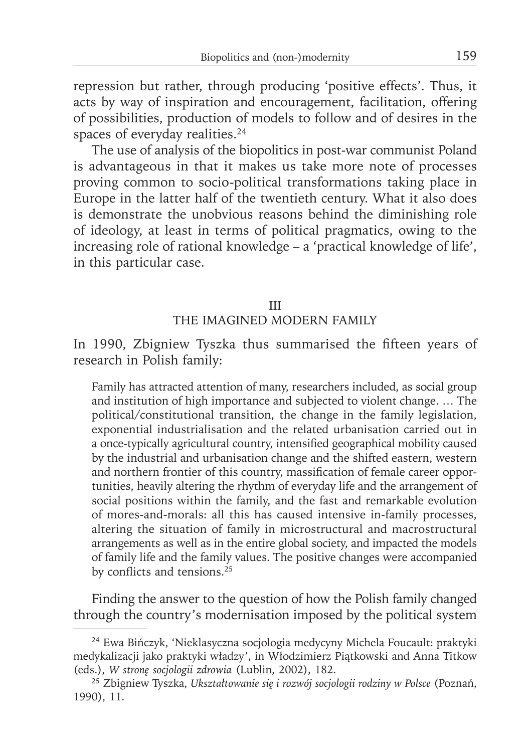repression but rather, through producing 'positive effects'. Thus, it acts by way of inspiration and encouragement, facilitation, offering of possibilities, production of models to follow and of desires in the spaces of everyday realities.<sup>24</sup>

The use of analysis of the biopolitics in post-war communist Poland is advantageous in that it makes us take more note of processes proving common to socio-political transformations taking place in Europe in the latter half of the twentieth century. What it also does is demonstrate the unobvious reasons behind the diminishing role of ideology, at least in terms of political pragmatics, owing to the increasing role of rational knowledge – a 'practical knowledge of life', in this particular case.

#### III THE IMAGINED MODERN FAMILY

In 1990, Zbigniew Tyszka thus summarised the fifteen years of research in Polish family:

Family has attracted attention of many, researchers included, as social group and institution of high importance and subjected to violent change. … The political/constitutional transition, the change in the family legislation, exponential industrialisation and the related urbanisation carried out in a once-typically agricultural country, intensified geographical mobility caused by the industrial and urbanisation change and the shifted eastern, western and northern frontier of this country, massification of female career opportunities, heavily altering the rhythm of everyday life and the arrangement of social positions within the family, and the fast and remarkable evolution of mores-and-morals: all this has caused intensive in-family processes, altering the situation of family in microstructural and macrostructural arrangements as well as in the entire global society, and impacted the models of family life and the family values. The positive changes were accompanied by conflicts and tensions.<sup>25</sup>

Finding the answer to the question of how the Polish family changed through the country's modernisation imposed by the political system

<sup>24</sup> Ewa Bińczyk, 'Nieklasyczna socjologia medycyny Michela Foucault: praktyki medykalizacji jako praktyki władzy', in Włodzimierz Piątkowski and Anna Titkow (eds.), *W stronę socjologii zdrowia* (Lublin, 2002), 182.

<sup>25</sup> Zbigniew Tyszka, *Ukształtowanie się i rozwój socjologii rodziny w Polsce* (Poznań, 1990), 11.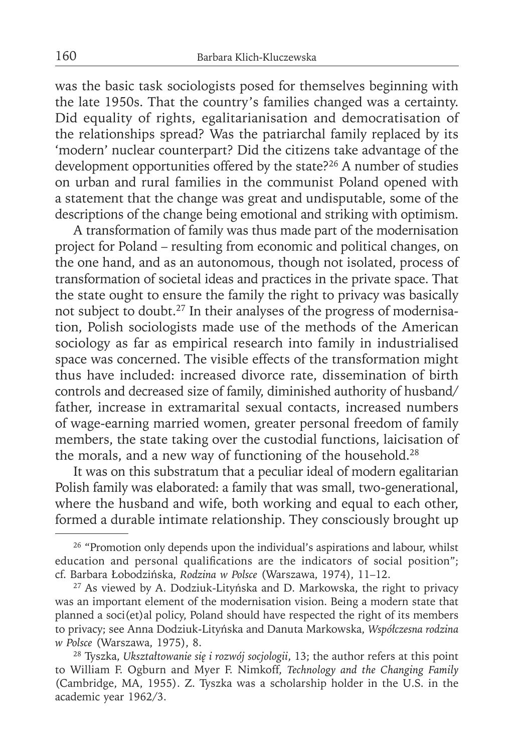was the basic task sociologists posed for themselves beginning with the late 1950s. That the country's families changed was a certainty. Did equality of rights, egalitarianisation and democratisation of the relationships spread? Was the patriarchal family replaced by its 'modern' nuclear counterpart? Did the citizens take advantage of the development opportunities offered by the state?<sup>26</sup> A number of studies on urban and rural families in the communist Poland opened with a statement that the change was great and undisputable, some of the descriptions of the change being emotional and striking with optimism.

A transformation of family was thus made part of the modernisation project for Poland – resulting from economic and political changes, on the one hand, and as an autonomous, though not isolated, process of transformation of societal ideas and practices in the private space. That the state ought to ensure the family the right to privacy was basically not subject to doubt.27 In their analyses of the progress of modernisation, Polish sociologists made use of the methods of the American sociology as far as empirical research into family in industrialised space was concerned. The visible effects of the transformation might thus have included: increased divorce rate, dissemination of birth controls and decreased size of family, diminished authority of husband/ father, increase in extramarital sexual contacts, increased numbers of wage-earning married women, greater personal freedom of family members, the state taking over the custodial functions, laicisation of the morals, and a new way of functioning of the household.<sup>28</sup>

It was on this substratum that a peculiar ideal of modern egalitarian Polish family was elaborated: a family that was small, two-generational, where the husband and wife, both working and equal to each other, formed a durable intimate relationship. They consciously brought up

<sup>&</sup>lt;sup>26</sup> "Promotion only depends upon the individual's aspirations and labour, whilst education and personal qualifications are the indicators of social position"; cf. Barbara Łobodzińska, *Rodzina w Polsce* (Warszawa, 1974), 11–12.

<sup>&</sup>lt;sup>27</sup> As viewed by A. Dodziuk-Lityńska and D. Markowska, the right to privacy was an important element of the modernisation vision. Being a modern state that planned a soci(et)al policy, Poland should have respected the right of its members to privacy; see Anna Dodziuk-Lityńska and Danuta Markowska, *Współczesna rodzina w Polsce* (Warszawa, 1975), 8.

<sup>28</sup> Tyszka, *Ukształtowanie się i rozwój socjologii*, 13; the author refers at this point to William F. Ogburn and Myer F. Nimkoff, *Technology and the Changing Family* (Cambridge, MA, 1955). Z. Tyszka was a scholarship holder in the U.S. in the academic year 1962/3.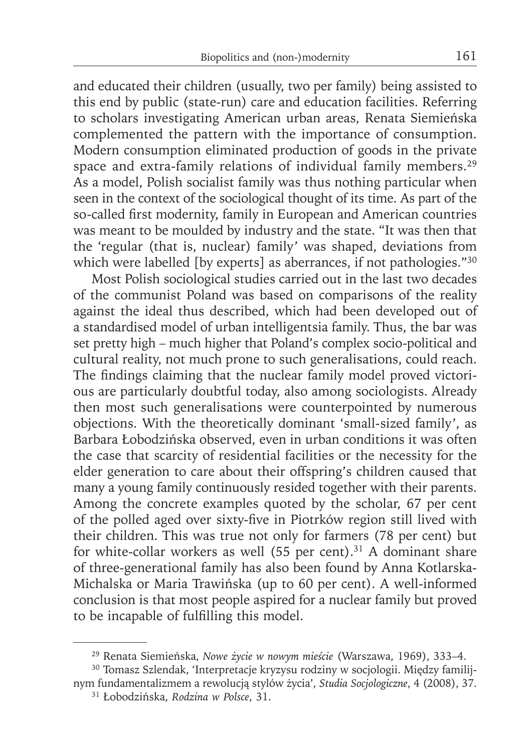and educated their children (usually, two per family) being assisted to this end by public (state-run) care and education facilities. Referring to scholars investigating American urban areas, Renata Siemieńska complemented the pattern with the importance of consumption. Modern consumption eliminated production of goods in the private space and extra-family relations of individual family members.<sup>29</sup> As a model, Polish socialist family was thus nothing particular when seen in the context of the sociological thought of its time. As part of the so-called first modernity, family in European and American countries was meant to be moulded by industry and the state. "It was then that the 'regular (that is, nuclear) family' was shaped, deviations from which were labelled [by experts] as aberrances, if not pathologies."<sup>30</sup>

Most Polish sociological studies carried out in the last two decades of the communist Poland was based on comparisons of the reality against the ideal thus described, which had been developed out of a standardised model of urban intelligentsia family. Thus, the bar was set pretty high – much higher that Poland's complex socio-political and cultural reality, not much prone to such generalisations, could reach. The findings claiming that the nuclear family model proved victorious are particularly doubtful today, also among sociologists. Already then most such generalisations were counterpointed by numerous objections. With the theoretically dominant 'small-sized family', as Barbara Łobodzińska observed, even in urban conditions it was often the case that scarcity of residential facilities or the necessity for the elder generation to care about their offspring's children caused that many a young family continuously resided together with their parents. Among the concrete examples quoted by the scholar, 67 per cent of the polled aged over sixty-five in Piotrków region still lived with their children. This was true not only for farmers (78 per cent) but for white-collar workers as well  $(55$  per cent).<sup>31</sup> A dominant share of three-generational family has also been found by Anna Kotlarska-Michalska or Maria Trawińska (up to 60 per cent). A well-informed conclusion is that most people aspired for a nuclear family but proved to be incapable of fulfilling this model.

<sup>29</sup> Renata Siemieńska, *Nowe życie w nowym mieście* (Warszawa, 1969), 333–4.

<sup>30</sup> Tomasz Szlendak, 'Interpretacje kryzysu rodziny w socjologii. Między familijnym fundamentalizmem a rewolucją styló w życia', *Studia Socjologiczne*, 4 (2008), 37.

<sup>31</sup> Łobodzińska, *Rodzina w Polsce*, 31.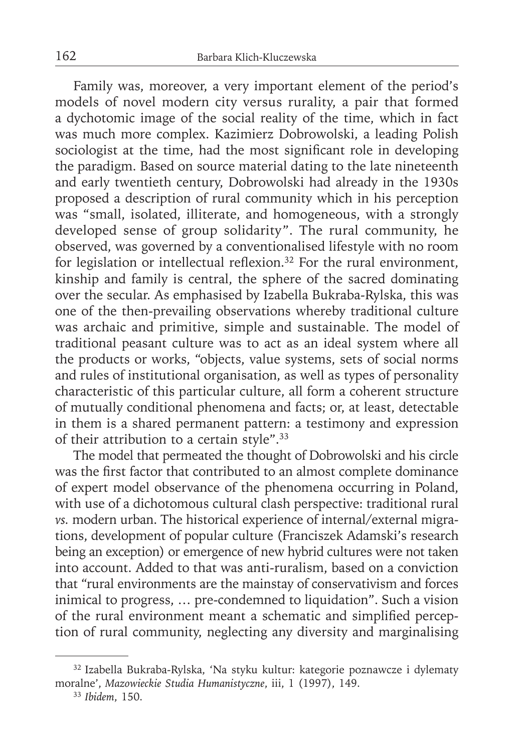Family was, moreover, a very important element of the period's models of novel modern city versus rurality, a pair that formed a dychotomic image of the social reality of the time, which in fact was much more complex. Kazimierz Dobrowolski, a leading Polish sociologist at the time, had the most significant role in developing the paradigm. Based on source material dating to the late nineteenth and early twentieth century, Dobrowolski had already in the 1930s proposed a description of rural community which in his perception was "small, isolated, illiterate, and homogeneous, with a strongly developed sense of group solidarity". The rural community, he observed, was governed by a conventionalised lifestyle with no room for legislation or intellectual reflexion.<sup>32</sup> For the rural environment, kinship and family is central, the sphere of the sacred dominating over the secular. As emphasised by Izabella Bukraba-Rylska, this was one of the then-prevailing observations whereby traditional culture was archaic and primitive, simple and sustainable. The model of traditional peasant culture was to act as an ideal system where all the products or works, "objects, value systems, sets of social norms and rules of institutional organisation, as well as types of personality characteristic of this particular culture, all form a coherent structure of mutually conditional phenomena and facts; or, at least, detectable in them is a shared permanent pattern: a testimony and expression of their attribution to a certain style".33

The model that permeated the thought of Dobrowolski and his circle was the first factor that contributed to an almost complete dominance of expert model observance of the phenomena occurring in Poland, with use of a dichotomous cultural clash perspective: traditional rural *vs.* modern urban. The historical experience of internal/external migrations, development of popular culture (Franciszek Adamski's research being an exception) or emergence of new hybrid cultures were not taken into account. Added to that was anti-ruralism, based on a conviction that "rural environments are the mainstay of conservativism and forces inimical to progress, … pre-condemned to liquidation". Such a vision of the rural environment meant a schematic and simplified perception of rural community, neglecting any diversity and marginalising

<sup>32</sup> Izabella Bukraba-Rylska, 'Na styku kultur: kategorie poznawcze i dylematy moralne', *Mazowieckie Studia Humanistyczne*, iii, 1 (1997), 149.

<sup>33</sup> *Ibidem*, 150.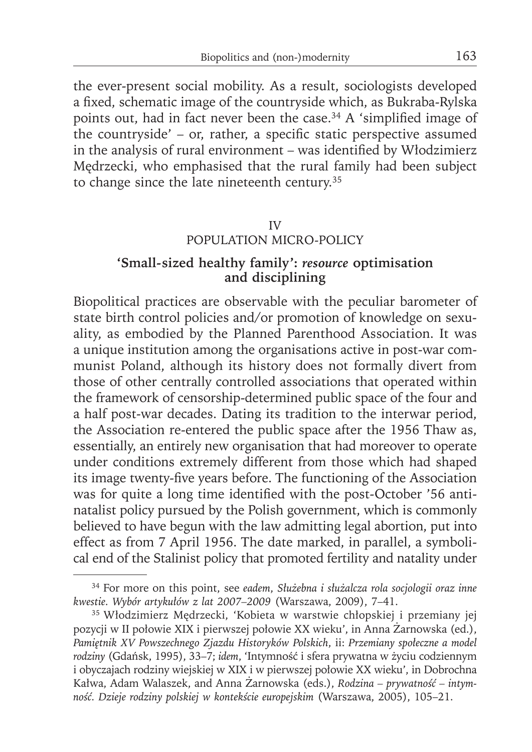the ever-present social mobility. As a result, sociologists developed a fixed, schematic image of the countryside which, as Bukraba-Rylska points out, had in fact never been the case.<sup>34</sup> A 'simplified image of the countryside' – or, rather, a specific static perspective assumed in the analysis of rural environment – was identified by Włodzimierz Mędrzecki, who emphasised that the rural family had been subject to change since the late nineteenth century.35

#### IV POPULATION MICRO-POLICY

## **'Small-sized healthy family':** *resource* **optimisation and disciplining**

Biopolitical practices are observable with the peculiar barometer of state birth control policies and/or promotion of knowledge on sexuality, as embodied by the Planned Parenthood Association. It was a unique institution among the organisations active in post-war communist Poland, although its history does not formally divert from those of other centrally controlled associations that operated within the framework of censorship-determined public space of the four and a half post-war decades. Dating its tradition to the interwar period, the Association re-entered the public space after the 1956 Thaw as, essentially, an entirely new organisation that had moreover to operate under conditions extremely different from those which had shaped its image twenty-five years before. The functioning of the Association was for quite a long time identified with the post-October '56 antinatalist policy pursued by the Polish government, which is commonly believed to have begun with the law admitting legal abortion, put into effect as from 7 April 1956. The date marked, in parallel, a symbolical end of the Stalinist policy that promoted fertility and natality under

<sup>34</sup> For more on this point, see *eadem*, *Służebna i służalcza rola socjologii oraz inne kwestie. Wybór artykułów z lat 2007–2009* (Warszawa, 2009), 7–41.

<sup>35</sup> Włodzimierz Mędrzecki, 'Kobieta w warstwie chłopskiej i przemiany jej pozycji w II połowie XIX i pierwszej połowie XX wieku', in Anna Żarnowska (ed.), *Pamiętnik XV Powszechnego Zjazdu Historyków Polskich*, ii: *Przemiany społeczne a model rodziny* (Gdańsk, 1995), 33–7; *idem*, 'Intymność i sfera prywatna w życiu codziennym i obyczajach rodziny wiejskiej w XIX i w pierwszej połowie XX wieku', in Dobrochna Kałwa, Adam Walaszek, and Anna Żarnowska (eds.), *Rodzina – prywatność – intymność. Dzieje rodziny polskiej w kontekście europejskim* (Warszawa, 2005), 105–21.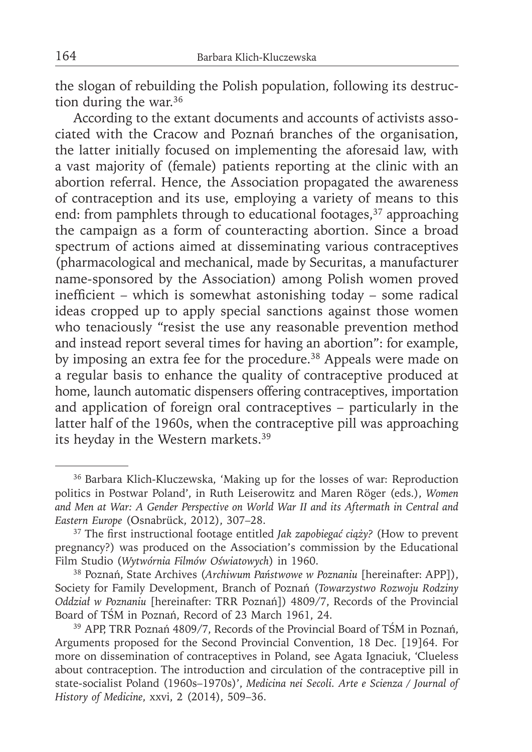the slogan of rebuilding the Polish population, following its destruction during the war.<sup>36</sup>

According to the extant documents and accounts of activists associated with the Cracow and Poznań branches of the organisation, the latter initially focused on implementing the aforesaid law, with a vast majority of (female) patients reporting at the clinic with an abortion referral. Hence, the Association propagated the awareness of contraception and its use, employing a variety of means to this end: from pamphlets through to educational footages,<sup>37</sup> approaching the campaign as a form of counteracting abortion. Since a broad spectrum of actions aimed at disseminating various contraceptives (pharmacological and mechanical, made by Securitas, a manufacturer name-sponsored by the Association) among Polish women proved inefficient – which is somewhat astonishing today – some radical ideas cropped up to apply special sanctions against those women who tenaciously "resist the use any reasonable prevention method and instead report several times for having an abortion": for example, by imposing an extra fee for the procedure.<sup>38</sup> Appeals were made on a regular basis to enhance the quality of contraceptive produced at home, launch automatic dispensers offering contraceptives, importation and application of foreign oral contraceptives – particularly in the latter half of the 1960s, when the contraceptive pill was approaching its heyday in the Western markets.39

<sup>36</sup> Barbara Klich-Kluczewska, 'Making up for the losses of war: Reproduction politics in Postwar Poland', in Ruth Leiserowitz and Maren Röger (eds.), *Women and Men at War: A Gender Perspective on World War II and its Aftermath in Central and Eastern Europe* (Osnabrück, 2012), 307–28.

<sup>&</sup>lt;sup>37</sup> The first instructional footage entitled *Jak zapobiegać ciąży?* (How to prevent pregnancy?) was produced on the Association's commission by the Educational Film Studio (*Wytwórnia Filmów Oświatowych*) in 1960.

<sup>38</sup> Poznań, State Archives (*Archiwum Państwowe w Poznaniu* [hereinafter: APP]), Society for Family Development, Branch of Poznań (*Towarzystwo Rozwoju Rodziny Oddział w Poznaniu* [hereinafter: TRR Poznań]) 4809/7, Records of the Provincial Board of TŚM in Poznań, Record of 23 March 1961, 24.

<sup>39</sup> APP, TRR Poznań 4809/7, Records of the Provincial Board of TŚM in Poznań, Arguments proposed for the Second Provincial Convention, 18 Dec. [19]64. For more on dissemination of contraceptives in Poland, see Agata Ignaciuk, 'Clueless about contraception. The introduction and circulation of the contraceptive pill in state-socialist Poland (1960s–1970s)', *Medicina nei Secoli. Arte e Scienza / Journal of History of Medicine*, xxvi, 2 (2014), 509–36.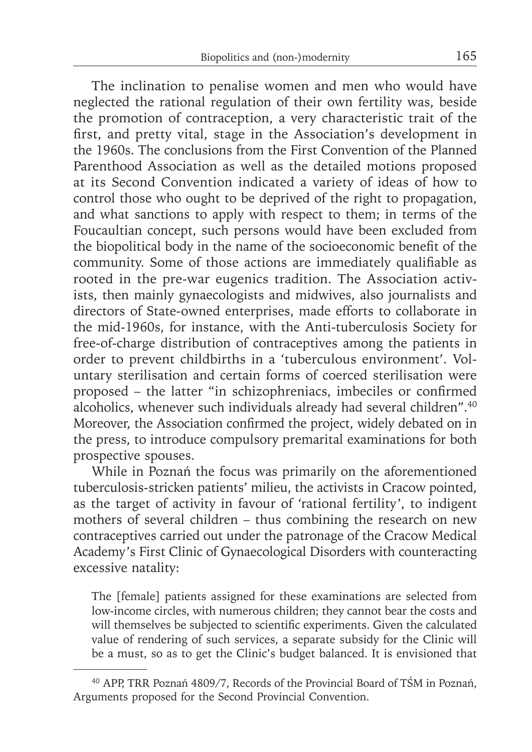The inclination to penalise women and men who would have neglected the rational regulation of their own fertility was, beside the promotion of contraception, a very characteristic trait of the first, and pretty vital, stage in the Association's development in the 1960s. The conclusions from the First Convention of the Planned Parenthood Association as well as the detailed motions proposed at its Second Convention indicated a variety of ideas of how to control those who ought to be deprived of the right to propagation, and what sanctions to apply with respect to them; in terms of the Foucaultian concept, such persons would have been excluded from the biopolitical body in the name of the socioeconomic benefit of the community. Some of those actions are immediately qualifiable as rooted in the pre-war eugenics tradition. The Association activists, then mainly gynaecologists and midwives, also journalists and directors of State-owned enterprises, made efforts to collaborate in the mid-1960s, for instance, with the Anti-tuberculosis Society for free-of-charge distribution of contraceptives among the patients in order to prevent childbirths in a 'tuberculous environment'. Voluntary sterilisation and certain forms of coerced sterilisation were proposed - the latter "in schizophreniacs, imbeciles or confirmed alcoholics, whenever such individuals already had several children".40 Moreover, the Association confirmed the project, widely debated on in the press, to introduce compulsory premarital examinations for both prospective spouses.

While in Poznań the focus was primarily on the aforementioned tuberculosis-stricken patients' milieu, the activists in Cracow pointed, as the target of activity in favour of 'rational fertility', to indigent mothers of several children – thus combining the research on new contraceptives carried out under the patronage of the Cracow Medical Academy's First Clinic of Gynaecological Disorders with counteracting excessive natality:

The [female] patients assigned for these examinations are selected from low-income circles, with numerous children; they cannot bear the costs and will themselves be subjected to scientific experiments. Given the calculated value of rendering of such services, a separate subsidy for the Clinic will be a must, so as to get the Clinic's budget balanced. It is envisioned that

<sup>40</sup> APP, TRR Poznań 4809/7, Records of the Provincial Board of TŚM in Poznań, Arguments proposed for the Second Provincial Convention.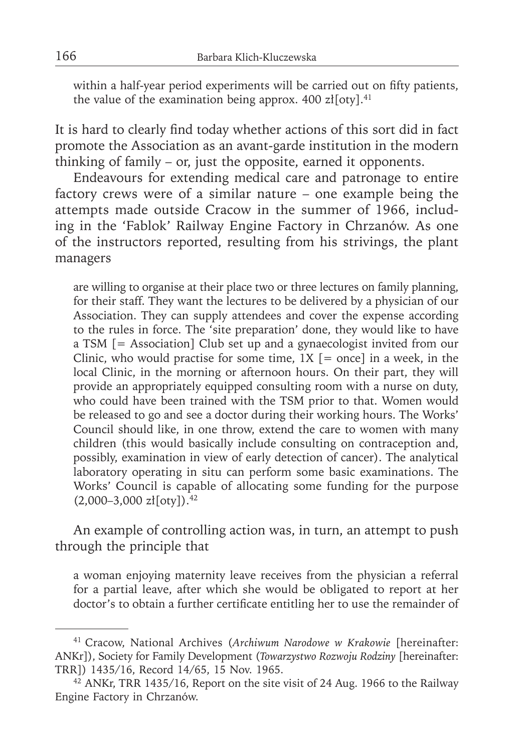within a half-year period experiments will be carried out on fifty patients, the value of the examination being approx. 400  $z$ ł[oty].<sup>41</sup>

It is hard to clearly find today whether actions of this sort did in fact promote the Association as an avant-garde institution in the modern thinking of family – or, just the opposite, earned it opponents.

Endeavours for extending medical care and patronage to entire factory crews were of a similar nature – one example being the attempts made outside Cracow in the summer of 1966, including in the 'Fablok' Railway Engine Factory in Chrzanów. As one of the instructors reported, resulting from his strivings, the plant managers

are willing to organise at their place two or three lectures on family planning, for their staff. They want the lectures to be delivered by a physician of our Association. They can supply attendees and cover the expense according to the rules in force. The 'site preparation' done, they would like to have a TSM [= Association] Club set up and a gynaecologist invited from our Clinic, who would practise for some time,  $1X$  [= once] in a week, in the local Clinic, in the morning or afternoon hours. On their part, they will provide an appropriately equipped consulting room with a nurse on duty, who could have been trained with the TSM prior to that. Women would be released to go and see a doctor during their working hours. The Works' Council should like, in one throw, extend the care to women with many children (this would basically include consulting on contraception and, possibly, examination in view of early detection of cancer). The analytical laboratory operating in situ can perform some basic examinations. The Works' Council is capable of allocating some funding for the purpose  $(2,000-3,000 \text{ z}t[oty])$ .<sup>42</sup>

An example of controlling action was, in turn, an attempt to push through the principle that

a woman enjoying maternity leave receives from the physician a referral for a partial leave, after which she would be obligated to report at her doctor's to obtain a further certificate entitling her to use the remainder of

<sup>41</sup> Cracow, National Archives (*Archiwum Narodowe w Krakowie* [hereinafter: ANKr]), Society for Family Development (*Towarzystwo Rozwoju Rodziny* [hereinafter: TRR]) 1435/16, Record 14/65, 15 Nov. 1965.

<sup>42</sup> ANKr, TRR 1435/16, Report on the site visit of 24 Aug. 1966 to the Railway Engine Factory in Chrzanów.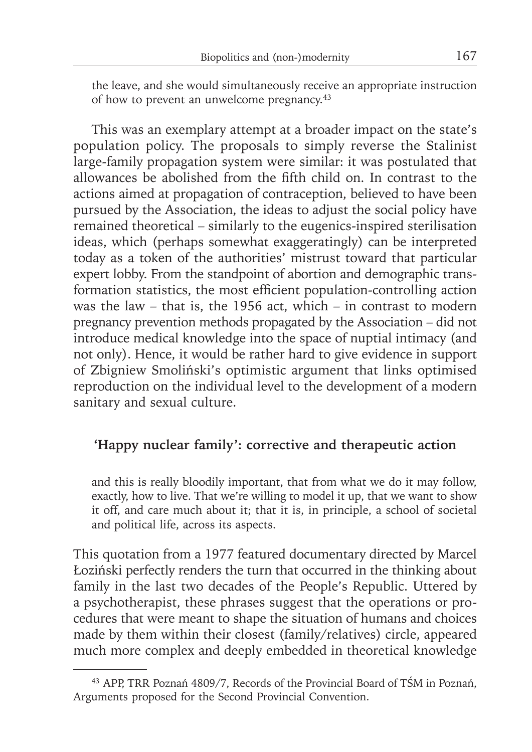the leave, and she would simultaneously receive an appropriate instruction of how to prevent an unwelcome pregnancy.<sup>43</sup>

This was an exemplary attempt at a broader impact on the state's population policy. The proposals to simply reverse the Stalinist large-family propagation system were similar: it was postulated that allowances be abolished from the fifth child on. In contrast to the actions aimed at propagation of contraception, believed to have been pursued by the Association, the ideas to adjust the social policy have remained theoretical – similarly to the eugenics-inspired sterilisation ideas, which (perhaps somewhat exaggeratingly) can be interpreted today as a token of the authorities' mistrust toward that particular expert lobby. From the standpoint of abortion and demographic transformation statistics, the most efficient population-controlling action was the law – that is, the 1956 act, which – in contrast to modern pregnancy prevention methods propagated by the Association – did not introduce medical knowledge into the space of nuptial intimacy (and not only). Hence, it would be rather hard to give evidence in support of Zbigniew Smoliński's optimistic argument that links optimised reproduction on the individual level to the development of a modern sanitary and sexual culture.

## **'Happy nuclear family': corrective and therapeutic action**

and this is really bloodily important, that from what we do it may follow, exactly, how to live. That we're willing to model it up, that we want to show it off, and care much about it; that it is, in principle, a school of societal and political life, across its aspects.

This quotation from a 1977 featured documentary directed by Marcel Łoziński perfectly renders the turn that occurred in the thinking about family in the last two decades of the People's Republic. Uttered by a psychotherapist, these phrases suggest that the operations or procedures that were meant to shape the situation of humans and choices made by them within their closest (family/relatives) circle, appeared much more complex and deeply embedded in theoretical knowledge

<sup>43</sup> APP, TRR Poznań 4809/7, Records of the Provincial Board of TŚM in Poznań, Arguments proposed for the Second Provincial Convention.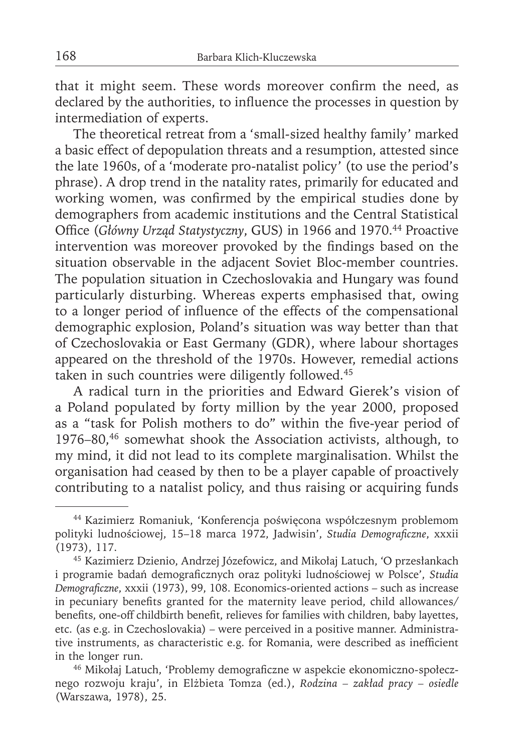that it might seem. These words moreover confirm the need, as declared by the authorities, to influence the processes in question by intermediation of experts.

The theoretical retreat from a 'small-sized healthy family' marked a basic effect of depopulation threats and a resumption, attested since the late 1960s, of a 'moderate pro-natalist policy' (to use the period's phrase). A drop trend in the natality rates, primarily for educated and working women, was confirmed by the empirical studies done by demographers from academic institutions and the Central Statistical Office (Główny Urząd Statystyczny, GUS) in 1966 and 1970.<sup>44</sup> Proactive intervention was moreover provoked by the findings based on the situation observable in the adjacent Soviet Bloc-member countries. The population situation in Czechoslovakia and Hungary was found particularly disturbing. Whereas experts emphasised that, owing to a longer period of influence of the effects of the compensational demographic explosion, Poland's situation was way better than that of Czechoslovakia or East Germany (GDR), where labour shortages appeared on the threshold of the 1970s. However, remedial actions taken in such countries were diligently followed.<sup>45</sup>

A radical turn in the priorities and Edward Gierek's vision of a Poland populated by forty million by the year 2000, proposed as a "task for Polish mothers to do" within the five-year period of 1976–80,46 somewhat shook the Association activists, although, to my mind, it did not lead to its complete marginalisation. Whilst the organisation had ceased by then to be a player capable of proactively contributing to a natalist policy, and thus raising or acquiring funds

<sup>44</sup> Kazimierz Romaniuk, 'Konferencja poświęcona współczesnym problemom polityki ludnościowej, 15-18 marca 1972, Jadwisin', *Studia Demograficzne*, xxxii (1973), 117.

<sup>45</sup> Kazimierz Dzienio, Andrzej Józefowicz, and Mikołaj Latuch, 'O przesłankach i programie badań demograficznych oraz polityki ludnościowej w Polsce', Studia *Demograficzne*, xxxii (1973), 99, 108. Economics-oriented actions – such as increase in pecuniary benefits granted for the maternity leave period, child allowances/ benefits, one-off childbirth benefit, relieves for families with children, baby layettes, etc. (as e.g. in Czechoslovakia) – were perceived in a positive manner. Administrative instruments, as characteristic e.g. for Romania, were described as inefficient in the longer run.

<sup>&</sup>lt;sup>46</sup> Mikołaj Latuch, 'Problemy demograficzne w aspekcie ekonomiczno-społecznego rozwoju kraju', in Elżbieta Tomza (ed.), *Rodzina – zakład pracy – osiedle* (Warszawa, 1978), 25.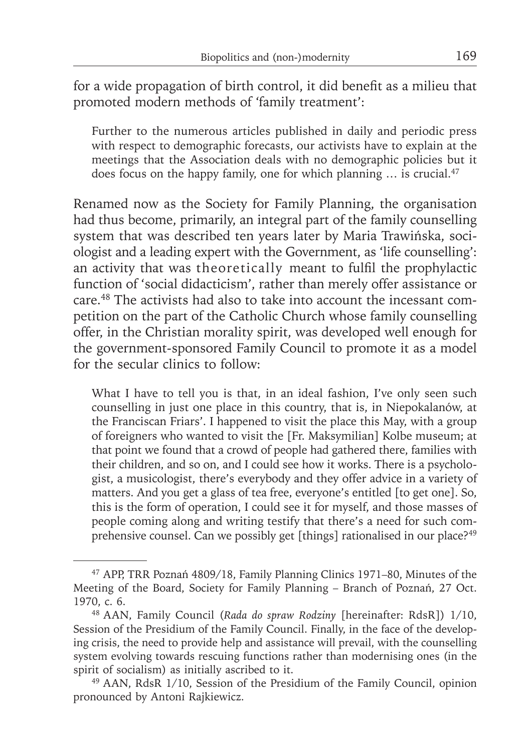for a wide propagation of birth control, it did benefit as a milieu that promoted modern methods of 'family treatment':

Further to the numerous articles published in daily and periodic press with respect to demographic forecasts, our activists have to explain at the meetings that the Association deals with no demographic policies but it does focus on the happy family, one for which planning  $\ldots$  is crucial.<sup>47</sup>

Renamed now as the Society for Family Planning, the organisation had thus become, primarily, an integral part of the family counselling system that was described ten years later by Maria Trawińska, sociologist and a leading expert with the Government, as 'life counselling': an activity that was theoretically meant to fulfil the prophylactic function of 'social didacticism', rather than merely offer assistance or care.48 The activists had also to take into account the incessant competition on the part of the Catholic Church whose family counselling offer, in the Christian morality spirit, was developed well enough for the government-sponsored Family Council to promote it as a model for the secular clinics to follow:

What I have to tell you is that, in an ideal fashion, I've only seen such counselling in just one place in this country, that is, in Niepokalanów, at the Franciscan Friars'. I happened to visit the place this May, with a group of foreigners who wanted to visit the [Fr. Maksymilian] Kolbe museum; at that point we found that a crowd of people had gathered there, families with their children, and so on, and I could see how it works. There is a psychologist, a musicologist, there's everybody and they offer advice in a variety of matters. And you get a glass of tea free, everyone's entitled [to get one]. So, this is the form of operation, I could see it for myself, and those masses of people coming along and writing testify that there's a need for such comprehensive counsel. Can we possibly get [things] rationalised in our place?<sup>49</sup>

<sup>47</sup> APP, TRR Poznań 4809/18, Family Planning Clinics 1971–80, Minutes of the Meeting of the Board, Society for Family Planning – Branch of Poznań, 27 Oct. 1970, c. 6.

<sup>48</sup> AAN, Family Council (*Rada do spraw Rodziny* [hereinafter: RdsR]) 1/10, Session of the Presidium of the Family Council. Finally, in the face of the developing crisis, the need to provide help and assistance will prevail, with the counselling system evolving towards rescuing functions rather than modernising ones (in the spirit of socialism) as initially ascribed to it.

<sup>49</sup> AAN, RdsR 1/10, Session of the Presidium of the Family Council, opinion pronounced by Antoni Rajkiewicz.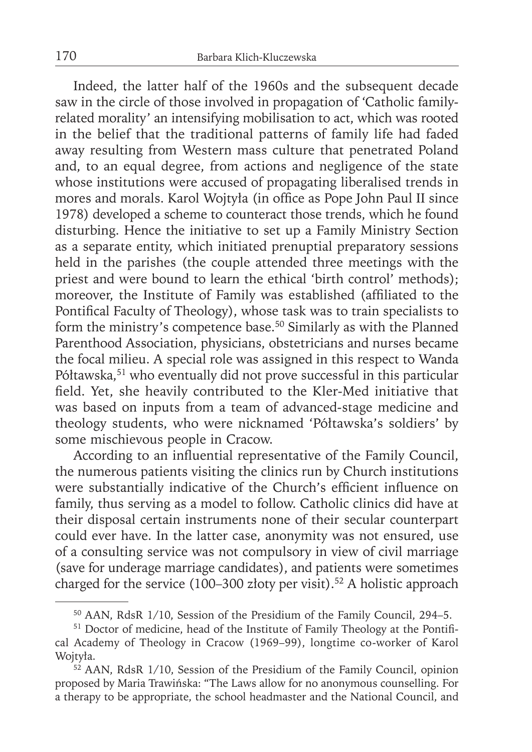Indeed, the latter half of the 1960s and the subsequent decade saw in the circle of those involved in propagation of 'Catholic familyrelated morality' an intensifying mobilisation to act, which was rooted in the belief that the traditional patterns of family life had faded away resulting from Western mass culture that penetrated Poland and, to an equal degree, from actions and negligence of the state whose institutions were accused of propagating liberalised trends in mores and morals. Karol Wojtyła (in office as Pope John Paul II since 1978) developed a scheme to counteract those trends, which he found disturbing. Hence the initiative to set up a Family Ministry Section as a separate entity, which initiated prenuptial preparatory sessions held in the parishes (the couple attended three meetings with the priest and were bound to learn the ethical 'birth control' methods); moreover, the Institute of Family was established (affiliated to the Pontifical Faculty of Theology), whose task was to train specialists to form the ministry's competence base.50 Similarly as with the Planned Parenthood Association, physicians, obstetricians and nurses became the focal milieu. A special role was assigned in this respect to Wanda Półtawska,<sup>51</sup> who eventually did not prove successful in this particular field. Yet, she heavily contributed to the Kler-Med initiative that was based on inputs from a team of advanced-stage medicine and theology students, who were nicknamed 'Półtawska's soldiers' by some mischievous people in Cracow.

According to an influential representative of the Family Council, the numerous patients visiting the clinics run by Church institutions were substantially indicative of the Church's efficient influence on family, thus serving as a model to follow. Catholic clinics did have at their disposal certain instruments none of their secular counterpart could ever have. In the latter case, anonymity was not ensured, use of a consulting service was not compulsory in view of civil marriage (save for underage marriage candidates), and patients were sometimes charged for the service (100–300 złoty per visit).<sup>52</sup> A holistic approach

<sup>50</sup> AAN, RdsR 1/10, Session of the Presidium of the Family Council, 294–5.

<sup>&</sup>lt;sup>51</sup> Doctor of medicine, head of the Institute of Family Theology at the Pontifical Academy of Theology in Cracow (1969–99), longtime co-worker of Karol Wojtyła.

 $52$  AAN, RdsR 1/10, Session of the Presidium of the Family Council, opinion proposed by Maria Trawińska: "The Laws allow for no anonymous counselling. For a therapy to be appropriate, the school headmaster and the National Council, and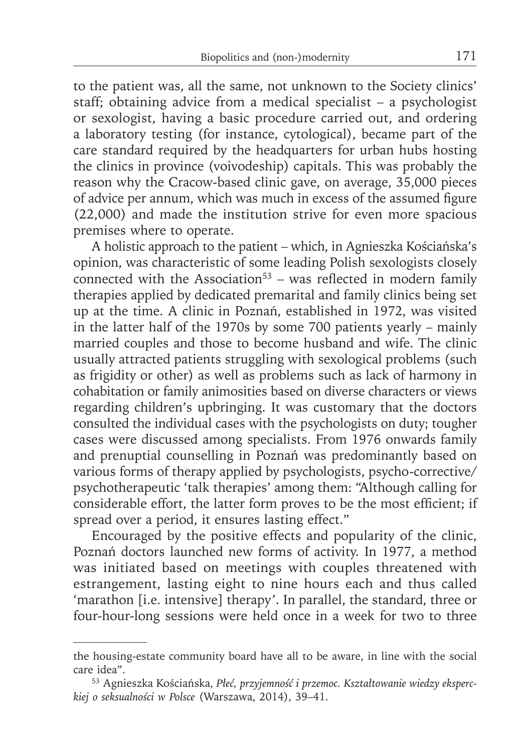to the patient was, all the same, not unknown to the Society clinics' staff; obtaining advice from a medical specialist – a psychologist or sexologist, having a basic procedure carried out, and ordering a laboratory testing (for instance, cytological), became part of the care standard required by the headquarters for urban hubs hosting the clinics in province (voivodeship) capitals. This was probably the reason why the Cracow-based clinic gave, on average, 35,000 pieces of advice per annum, which was much in excess of the assumed figure (22,000) and made the institution strive for even more spacious premises where to operate.

A holistic approach to the patient – which, in Agnieszka Kościańska's opinion, was characteristic of some leading Polish sexologists closely connected with the Association<sup>53</sup> – was reflected in modern family therapies applied by dedicated premarital and family clinics being set up at the time. A clinic in Poznań, established in 1972, was visited in the latter half of the 1970s by some 700 patients yearly – mainly married couples and those to become husband and wife. The clinic usually attracted patients struggling with sexological problems (such as frigidity or other) as well as problems such as lack of harmony in cohabitation or family animosities based on diverse characters or views regarding children's upbringing. It was customary that the doctors consulted the individual cases with the psychologists on duty; tougher cases were discussed among specialists. From 1976 onwards family and prenuptial counselling in Poznań was predominantly based on various forms of therapy applied by psychologists, psycho-corrective/ psychotherapeutic 'talk therapies' among them: "Although calling for considerable effort, the latter form proves to be the most efficient; if spread over a period, it ensures lasting effect."

Encouraged by the positive effects and popularity of the clinic, Poznań doctors launched new forms of activity. In 1977, a method was initiated based on meetings with couples threatened with estrangement, lasting eight to nine hours each and thus called 'marathon [i.e. intensive] therapy'. In parallel, the standard, three or four-hour-long sessions were held once in a week for two to three

the housing-estate community board have all to be aware, in line with the social care idea".

<sup>53</sup> Agnieszka Kościańska, *Płeć, przyjemność i przemoc. Kształtowanie wiedzy eksperckiej o seksualności w Polsce* (Warszawa, 2014), 39–41.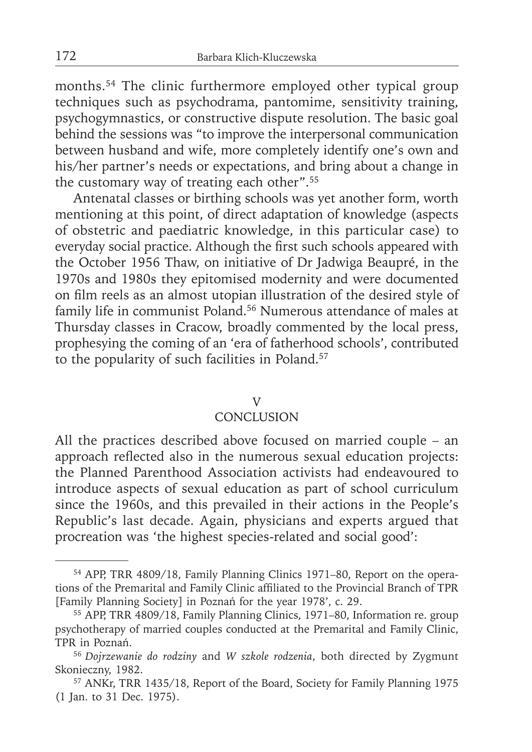months.54 The clinic furthermore employed other typical group techniques such as psychodrama, pantomime, sensitivity training, psychogymnastics, or constructive dispute resolution. The basic goal behind the sessions was "to improve the interpersonal communication between husband and wife, more completely identify one's own and his/her partner's needs or expectations, and bring about a change in the customary way of treating each other".55

Antenatal classes or birthing schools was yet another form, worth mentioning at this point, of direct adaptation of knowledge (aspects of obstetric and paediatric knowledge, in this particular case) to everyday social practice. Although the first such schools appeared with the October 1956 Thaw, on initiative of Dr Jadwiga Beaupré, in the 1970s and 1980s they epitomised modernity and were documented on film reels as an almost utopian illustration of the desired style of family life in communist Poland.<sup>56</sup> Numerous attendance of males at Thursday classes in Cracow, broadly commented by the local press, prophesying the coming of an 'era of fatherhood schools', contributed to the popularity of such facilities in Poland.<sup>57</sup>

#### V

## **CONCLUSION**

All the practices described above focused on married couple – an approach reflected also in the numerous sexual education projects: the Planned Parenthood Association activists had endeavoured to introduce aspects of sexual education as part of school curriculum since the 1960s, and this prevailed in their actions in the People's Republic's last decade. Again, physicians and experts argued that procreation was 'the highest species-related and social good':

<sup>54</sup> APP, TRR 4809/18, Family Planning Clinics 1971–80, Report on the operations of the Premarital and Family Clinic affiliated to the Provincial Branch of TPR [Family Planning Society] in Poznań for the year 1978', c. 29.

<sup>55</sup> APP, TRR 4809/18, Family Planning Clinics, 1971–80, Information re. group psychotherapy of married couples conducted at the Premarital and Family Clinic, TPR in Poznań.

<sup>56</sup>*Dojrzewanie do rodziny* and *W szkole rodzenia*, both directed by Zygmunt Skonieczny, 1982.

<sup>57</sup> ANKr, TRR 1435/18, Report of the Board, Society for Family Planning 1975 (1 Jan. to 31 Dec. 1975).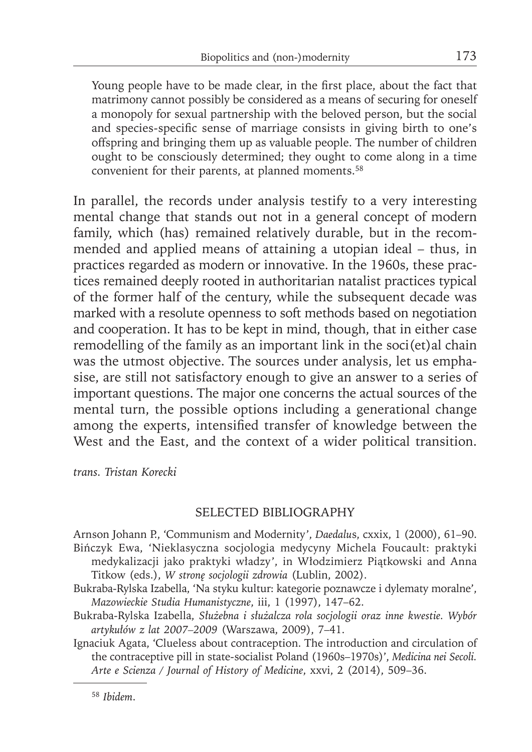Young people have to be made clear, in the first place, about the fact that matrimony cannot possibly be considered as a means of securing for oneself a monopoly for sexual partnership with the beloved person, but the social and species-specific sense of marriage consists in giving birth to one's offspring and bringing them up as valuable people. The number of children ought to be consciously determined; they ought to come along in a time convenient for their parents, at planned moments.<sup>58</sup>

In parallel, the records under analysis testify to a very interesting mental change that stands out not in a general concept of modern family, which (has) remained relatively durable, but in the recommended and applied means of attaining a utopian ideal – thus, in practices regarded as modern or innovative. In the 1960s, these practices remained deeply rooted in authoritarian natalist practices typical of the former half of the century, while the subsequent decade was marked with a resolute openness to soft methods based on negotiation and cooperation. It has to be kept in mind, though, that in either case remodelling of the family as an important link in the soci(et)al chain was the utmost objective. The sources under analysis, let us emphasise, are still not satisfactory enough to give an answer to a series of important questions. The major one concerns the actual sources of the mental turn, the possible options including a generational change among the experts, intensified transfer of knowledge between the West and the East, and the context of a wider political transition.

*trans. Tristan Korecki*

## SELECTED BIBLIOGRAPHY

Arnson Johann P.' 'Communism and Modernity', *Daedalu*s, cxxix, 1 (2000), 61–90. Bińczyk Ewa, 'Nieklasyczna socjologia medycyny Michela Foucault: praktyki

medykalizacji jako praktyki władzy', in Włodzimierz Piątkowski and Anna Titkow (eds.), *W stronę socjologii zdrowia* (Lublin, 2002).

- Bukraba-Rylska Izabella, 'Na styku kultur: kategorie poznawcze i dylematy moralne', *Mazowieckie Studia Humanistyczne*, iii, 1 (1997), 147–62.
- Bukraba-Rylska Izabella, *Służebna i służalcza rola socjologii oraz inne kwestie. Wybór artykułów z lat 2007–2009* (Warszawa, 2009), 7–41.
- Ignaciuk Agata, 'Clueless about contraception. The introduction and circulation of the contraceptive pill in state-socialist Poland (1960s–1970s)', *Medicina nei Secoli. Arte e Scienza / Journal of History of Medicine*, xxvi, 2 (2014), 509–36.

<sup>58</sup> *Ibidem*.